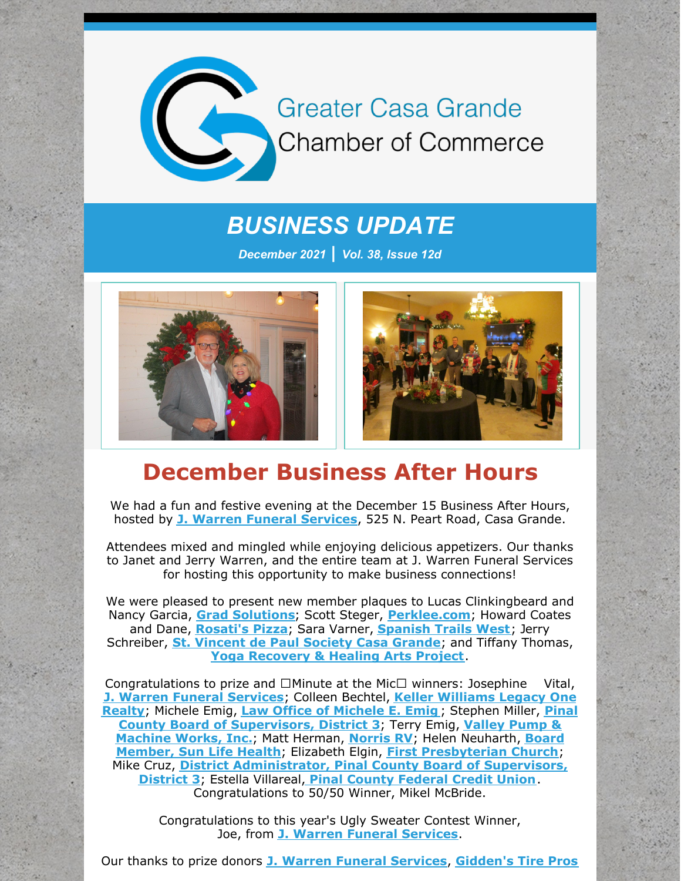

*BUSINESS UPDATE*

*December 2021 | Vol. 38, Issue 12d*





# **December Business After Hours**

We had a fun and festive evening at the December 15 Business After Hours, hosted by **J. Warren Funeral [Services](http://www.jwarrenfuneral.com)**, 525 N. Peart Road, Casa Grande.

Attendees mixed and mingled while enjoying delicious appetizers. Our thanks to Janet and Jerry Warren, and the entire team at J. Warren Funeral Services for hosting this opportunity to make business connections!

We were pleased to present new member plaques to Lucas Clinkingbeard and Nancy Garcia, **Grad [Solutions](http://www.iwantmydiploma.com)**; Scott Steger, **[Perklee.com](http://www.perklee.com)**; Howard Coates and Dane, **[Rosati's](http://www.myrosatis.com/casa-grande) Pizza**; Sara Varner, **[Spanish](http://www.spanishtrailsresort.com) Trails West**; Jerry Schreiber, **St. [Vincent](http://www.svdpcasagrande.org/) de Paul Society Casa Grande**; and Tiffany Thomas, **Yoga [Recovery](http://www.yogahealingartsproject.org) & Healing Arts Project**.

Congratulations to prize and  $\Box$  Minute at the Mic $\Box$  winners: Josephine Vital, **J. Warren Funeral [Services](http://www.jwarrenfuneral.com)**; Colleen Bechtel, **Keller [Williams](http://www.advhometeam.com) Legacy One Realty**; Michele Emig, **Law Office of [Michele](http://www.emiglaw.com) E. Emig** ; Stephen Miller, **Pinal County Board of [Supervisors,](http://www.valleypumpandmachine.com) District 3**; Terry Emig, **Valley Pump & Machine Works, Inc.**; Matt Herman, **[Norris](http://www.norrisrv.com) RV**; Helen Neuharth, **Board Member, Sun Life Health**; Elizabeth Elgin, **First [Presbyterian](http://www.slfhc.org) Church**; Mike Cruz, **District [Administrator,](https://www.pinalcountyaz.gov/bos/pages/district3supervisor.aspx) Pinal County Board of Supervisors, District 3**; Estella Villareal, **Pinal County [Federal](http://www.pcfcu.org) Credit Union**. Congratulations to 50/50 Winner, Mikel McBride.

> Congratulations to this year's Ugly Sweater Contest Winner, Joe, from **J. Warren Funeral [Services](http://www.jw)**.

Our thanks to prize donors **J. Warren Funeral [Services](http://www.jwarrenfuneral.com)**, **[Gidden's](http://www.giddenstirepros.com) Tire Pros**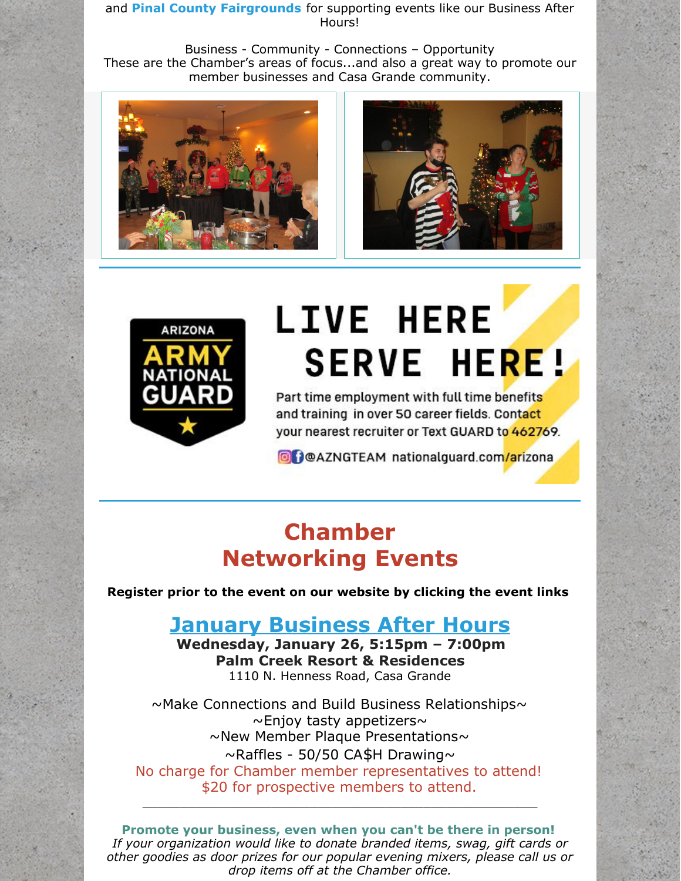and **Pinal County Fairgrounds** for supporting events like our Business After Hours!

Business - Community - Connections – Opportunity These are the Chamber's areas of focus...and also a great way to promote our member businesses and Casa Grande community.







# **LIVE HERE SERVE HERE!**

Part time employment with full time benefits and training in over 50 career fields. Contact your nearest recruiter or Text GUARD to 462769.

O DOAZNGTEAM nationalguard.com/arizona

# **Chamber Networking Events**

**Register prior to the event on our website by clicking the event links**

## **January [Business](https://cca.casagrandechamber.org/EvtListing.aspx?dbid2=AZCAGR&evtid=28059&class=E) After Hours**

**Wednesday, January 26, 5:15pm – 7:00pm Palm Creek Resort & Residences** 1110 N. Henness Road, Casa Grande

~Make Connections and Build Business Relationships~  $\sim$ Enjoy tasty appetizers $\sim$  $\sim$ New Member Plaque Presentations $\sim$  $\sim$ Raffles - 50/50 CA\$H Drawing $\sim$ No charge for Chamber member representatives to attend! \$20 for prospective members to attend.

**Promote your business, even when you can't be there in person!** *If your organization would like to donate branded items, swag, gift cards or other goodies as door prizes for our popular evening mixers, please call us or drop items off at the Chamber office.*

\_\_\_\_\_\_\_\_\_\_\_\_\_\_\_\_\_\_\_\_\_\_\_\_\_\_\_\_\_\_\_\_\_\_\_\_\_\_\_\_\_\_\_\_\_\_\_\_\_\_\_\_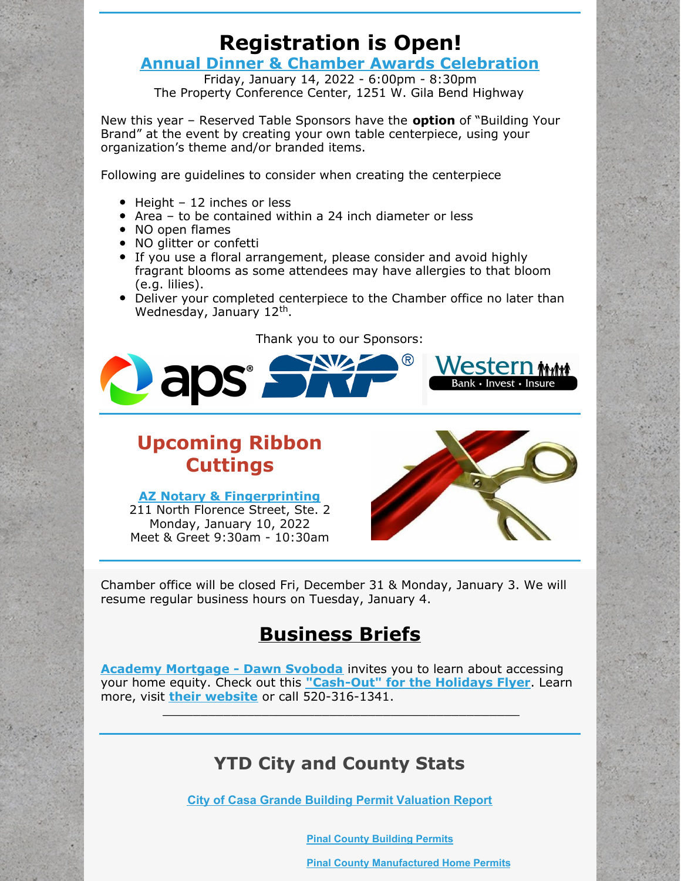# **Registration is Open!**

#### **Annual Dinner & Chamber Awards [Celebration](https://r20.rs6.net/tn.jsp?f=001mfeFjtg5OmnarUdRHCA5Bx-YF6KbGUItIgb-HPFJO8WE7XHLrwOxJnfYc9xwDA3cnsai9RzEFp0ooJ41DWP9WRk--fLUfEt4P6ZGQrZBCZy3kQ8qwjlC_0y2rWyVVpZCby6hFQJtaV5y6Mee7cp91Tu_IFFxtkNTxdnZjEvZ5giJQpPQHjYaqAfUXLSzd_akTeV2FPwINWG2eakO7N3Kd438n3-RJ4RrtfHJ5i-TsbE=&c=JeDsNXzOAnJ-HLrfFZoTgAL1AtPJMYIjc3NaWcmHdRyQO2z1AhUs0Q==&ch=PLNBAJiQjN0OnpMzs1lqHZRW7TiH7h9SCt7MUbgCa23XVhsY_bfxGA==)**

Friday, January 14, 2022 - 6:00pm - 8:30pm The Property Conference Center, 1251 W. Gila Bend Highway

New this year – Reserved Table Sponsors have the **option** of "Building Your Brand" at the event by creating your own table centerpiece, using your organization's theme and/or branded items.

Following are guidelines to consider when creating the centerpiece

- $\bullet$  Height 12 inches or less
- $\bullet$  Area to be contained within a 24 inch diameter or less
- NO open flames
- NO glitter or confetti
- If you use a floral arrangement, please consider and avoid highly fragrant blooms as some attendees may have allergies to that bloom (e.g. lilies).
- Deliver your completed centerpiece to the Chamber office no later than Wednesday, January 12<sup>th</sup>.

#### Thank you to our Sponsors:



## **Upcoming Ribbon Cuttings**

#### **AZ Notary & [Fingerprinting](http://www.aznotary2you.com)**

211 North Florence Street, Ste. 2 Monday, January 10, 2022 Meet & Greet 9:30am - 10:30am



Chamber office will be closed Fri, December 31 & Monday, January 3. We will resume regular business hours on Tuesday, January 4.

# **Business Briefs**

**Academy [Mortgage](https://r20.rs6.net/tn.jsp?f=001EN734VFBR0ZW5182MWC7XiScX5aZXIf-MxpOOFzS8OCmPak4uUmITSCk2uuwvCgCaZQ5-UxEK2JWHVDQ7FoLA8w75id_Uix9KmBZtbQ0DCKuOtCFgVehmRzFKMpxezjoaTRoO2eFQIY9HUSXwrFTj6B8KaWTRlb7io4WYesFRMC853xjm-4Ool-BTCL_Js2ZOiU4tj0zLjsRYtFXiXaMtB8VUb3QYysi8mEwAsijzo8=&c=sxxBZ2Lc7UB6pzbS3jycbIGlNDXdj8D_ogD0TSkOZYu07N4pp-wobA==&ch=0d1p0Az7npJT63MUnmUPNO4hj_sy-7R6HjfThGZd2xJ3-FMa2cRIkA==) - Dawn Svoboda** invites you to learn about accessing your home equity. Check out this **["Cash-Out"](https://files.constantcontact.com/8c5f2f7b701/e1235b76-72ca-4b0d-8f9c-58fb2afdf6c4.pdf) for the Holidays Flyer**. Learn more, visit **their [website](https://r20.rs6.net/tn.jsp?f=001EN734VFBR0ZW5182MWC7XiScX5aZXIf-MxpOOFzS8OCmPak4uUmITb5NGfAeUMPhoOVntnf6pHVF1qOACoWlzyt1tZX0SsOYAMR8VVrNfitU1xvvM3eFnI6raup7cqe2vCNJQ3RFOH0f_Hy6Dx40upzLm_i02U_wv4AhoOs39yk=&c=sxxBZ2Lc7UB6pzbS3jycbIGlNDXdj8D_ogD0TSkOZYu07N4pp-wobA==&ch=0d1p0Az7npJT63MUnmUPNO4hj_sy-7R6HjfThGZd2xJ3-FMa2cRIkA==)** or call 520-316-1341.

\_\_\_\_\_\_\_\_\_\_\_\_\_\_\_\_\_\_\_\_\_\_\_\_\_\_\_\_\_\_\_\_\_\_\_\_\_\_\_\_\_\_\_\_\_\_\_

#### **YTD City and County Stats**

**City of Casa Grande Building Permit [Valuation](https://files.constantcontact.com/8c5f2f7b701/13ad6728-7662-4d8b-ad9b-6952e95ca690.pdf) Report**

**Pinal County [Building](https://files.constantcontact.com/8c5f2f7b701/4b639787-a2de-42ef-8f81-cc3746dde682.pdf) Permits**

**Pinal County [Manufactured](https://files.constantcontact.com/8c5f2f7b701/5dd59e85-2699-4b57-afd9-6321d4a12884.pdf) Home Permits**